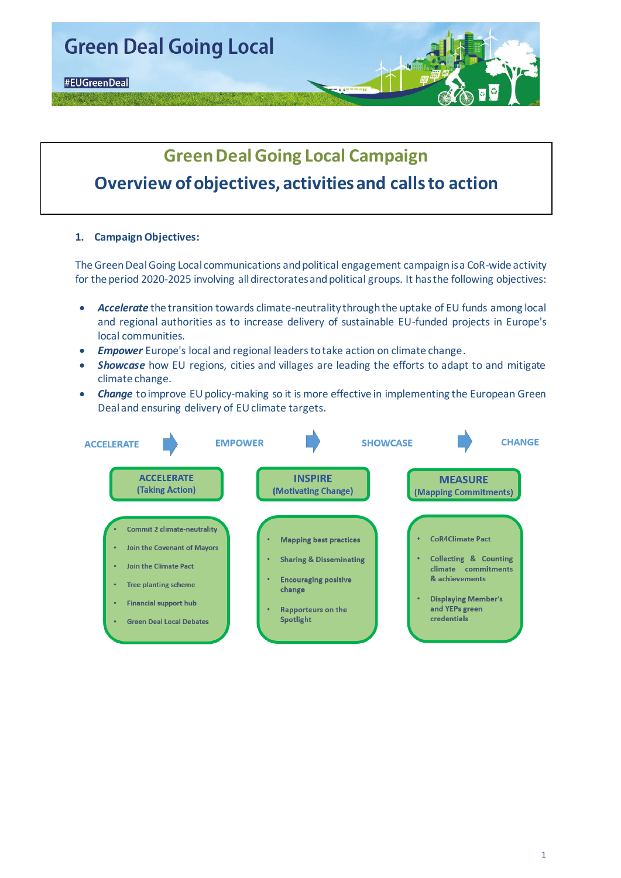

# **Green Deal Going Local Campaign Overview of objectives, activities and calls to action**

#### **1. Campaign Objectives:**

The Green Deal Going Local communications and political engagement campaignis a CoR-wide activity for the period 2020-2025 involving all directorates and political groups. It has the following objectives:

- *Accelerate* the transition towards climate-neutrality through the uptake of EU funds among local and regional authorities as to increase delivery of sustainable EU-funded projects in Europe's local communities.
- *Empower* Europe's local and regional leaders to take action on climate change.
- *Showcase* how EU regions, cities and villages are leading the efforts to adapt to and mitigate climate change.
- *Change* toimprove EU policy-making so it is more effective in implementing the European Green Deal and ensuring delivery of EU climate targets.

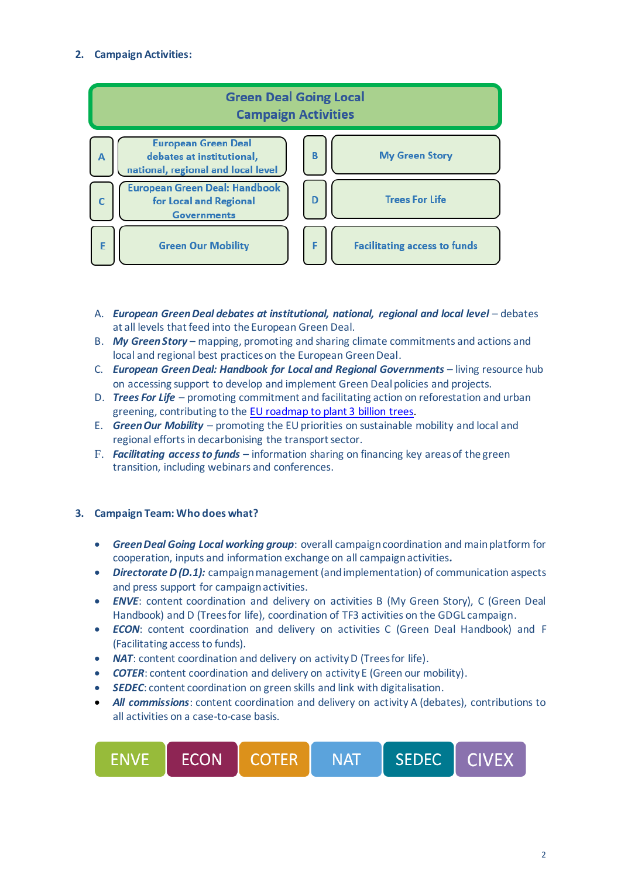### **2. Campaign Activities:**



- A. *European Green Deal debates at institutional, national, regional and local level* debates at all levels that feed into the European Green Deal.
- B. *My Green Story* mapping, promoting and sharing climate commitments and actions and local and regional best practices on the European Green Deal.
- C. *European Green Deal: Handbook for Local and Regional Governments* living resource hub on accessing support to develop and implement Green Deal policies and projects.
- D. *Trees For Life* promoting commitment and facilitating action on reforestation and urban greening, contributing to the [EU roadmap to plant 3 billion trees.](https://ec.europa.eu/environment/3-billion-trees_en#:~:text=Under%20the%20European%20Green%20Deal,and%20quality%20of%20EU%20forests.)
- E. *Green Our Mobility* promoting the EU priorities on sustainable mobility and local and regional efforts in decarbonising the transport sector.
- F. *Facilitating access to funds* information sharing on financing key areas of the green transition, including webinars and conferences.

#### **3. Campaign Team: Who does what?**

- *Green Deal Going Local working group*: overall campaign coordination and main platform for cooperation, inputs and information exchange on all campaign activities*.*
- *Directorate D (D.1):* campaign management (and implementation) of communication aspects and press support for campaign activities.
- *ENVE*: content coordination and delivery on activities B (My Green Story), C (Green Deal Handbook) and D (Trees for life), coordination of TF3 activities on the GDGL campaign.
- *ECON*: content coordination and delivery on activities C (Green Deal Handbook) and F (Facilitating access to funds).
- *NAT*: content coordination and delivery on activity D (Trees for life).
- **COTER:** content coordination and delivery on activity E (Green our mobility).
- *SEDEC*: content coordination on green skills and link with digitalisation.
- *All commissions*: content coordination and delivery on activity A (debates), contributions to all activities on a case-to-case basis.

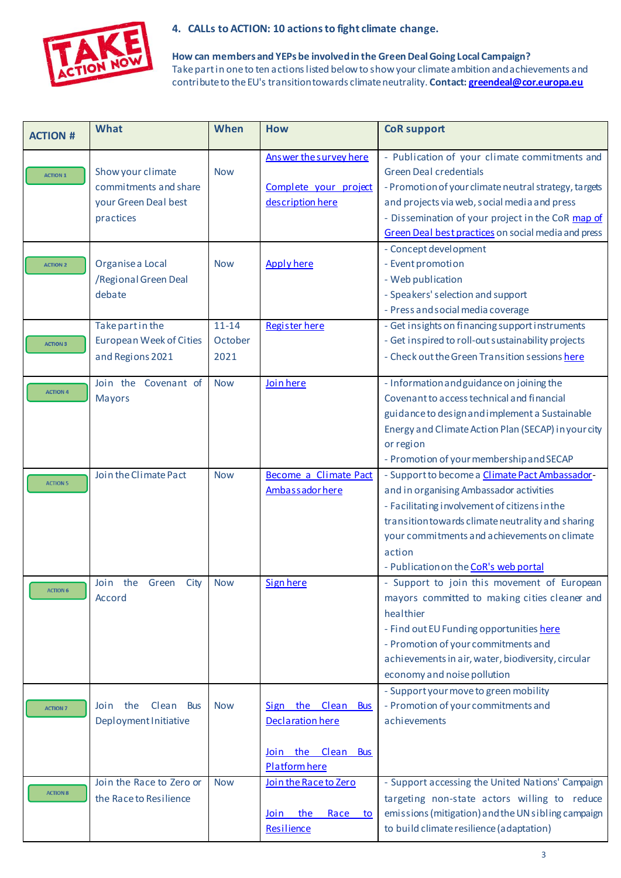

## **4. CALLs to ACTION: 10 actions to fight climate change.**

**How can members and YEPs be involvedin the Green Deal Going Local Campaign?**  Take part in one to ten actions listed below to show your climate ambition and achievements and contribute to the EU's transition towards climate neutrality. **Contac[t: greendeal@cor.europa.eu](mailto:greendeal@cor.europa.eu)**

| <b>ACTION #</b> | What                                                                            | When                         | <b>How</b>                                                                    | <b>CoR support</b>                                                                                                                                                                                                                                                                                  |
|-----------------|---------------------------------------------------------------------------------|------------------------------|-------------------------------------------------------------------------------|-----------------------------------------------------------------------------------------------------------------------------------------------------------------------------------------------------------------------------------------------------------------------------------------------------|
| <b>ACTION 1</b> | Show your climate<br>commitments and share<br>your Green Deal best<br>practices | <b>Now</b>                   | Answer the survey here<br>Complete your project<br>description here           | - Publication of your climate commitments and<br><b>Green Deal credentials</b><br>- Promotion of your climate neutral strategy, targets<br>and projects via web, social media and press<br>- Dissemination of your project in the CoR map of<br>Green Deal best practices on social media and press |
| <b>ACTION 2</b> | Organise a Local<br>/Regional Green Deal<br>debate                              | <b>Now</b>                   | <b>Apply here</b>                                                             | - Concept devel opment<br>- Event promotion<br>- Web publication<br>- Speakers' selection and support<br>- Press and social media coverage                                                                                                                                                          |
| <b>ACTION 3</b> | Take part in the<br><b>European Week of Cities</b><br>and Regions 2021          | $11 - 14$<br>October<br>2021 | Register here                                                                 | - Get insights on financing support instruments<br>- Get inspired to roll-out sustainability projects<br>- Check out the Green Transition sessions here                                                                                                                                             |
| <b>ACTION 4</b> | Join the<br>Covenant of<br><b>Mayors</b>                                        | <b>Now</b>                   | Join here                                                                     | - Information and guidance on joining the<br>Covenant to access technical and financial<br>guidance to design and implement a Sustainable<br>Energy and Climate Action Plan (SECAP) in your city<br>or region<br>- Promotion of your membership and SECAP                                           |
| <b>ACTION 5</b> | Join the Climate Pact                                                           | <b>Now</b>                   | <b>Become a Climate Pact</b><br>Ambassador here                               | - Support to become a Climate Pact Ambassador-<br>and in organising Ambassador activities<br>- Facilitating involvement of citizens in the<br>transition towards climate neutrality and sharing<br>your commitments and achievements on climate<br>action<br>- Publication on the CoR's web portal  |
| <b>ACTION 6</b> | Join<br>the<br>Green<br>City<br>Accord                                          | <b>Now</b>                   | <b>Sign here</b>                                                              | - Support to join this movement of European<br>mayors committed to making cities cleaner and<br>healthier<br>- Find out EU Funding opportunities here<br>- Promotion of your commitments and<br>achievements in air, water, biodiversity, circular<br>economy and noise pollution                   |
| <b>ACTION 7</b> | Join the<br>Clean<br><b>Bus</b><br>Deployment Initiative                        | <b>Now</b>                   | Sign the Clean Bus<br>Declaration here<br>Join the Clean Bus<br>Platform here | - Support your move to green mobility<br>- Promotion of your commitments and<br>achievements                                                                                                                                                                                                        |
| <b>ACTION 8</b> | Join the Race to Zero or<br>the Race to Resilience                              | <b>Now</b>                   | Join the Race to Zero<br>the<br>Race<br>Join<br>to<br>Resilience              | - Support accessing the United Nations' Campaign<br>targeting non-state actors willing to reduce<br>emissions (mitigation) and the UN sibling campaign<br>to build climate resilience (adaptation)                                                                                                  |